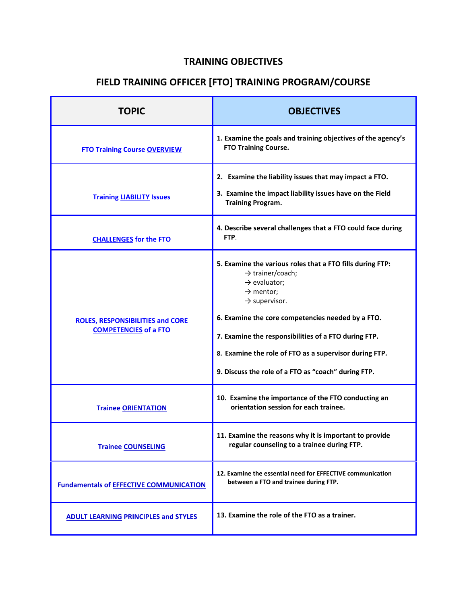## **TRAINING OBJECTIVES**

## **FIELD TRAINING OFFICER [FTO] TRAINING PROGRAM/COURSE**

| <b>TOPIC</b>                                                            | <b>OBJECTIVES</b>                                                                                                                                                                                                                                                                                                                                                                                         |
|-------------------------------------------------------------------------|-----------------------------------------------------------------------------------------------------------------------------------------------------------------------------------------------------------------------------------------------------------------------------------------------------------------------------------------------------------------------------------------------------------|
| <b>FTO Training Course OVERVIEW</b>                                     | 1. Examine the goals and training objectives of the agency's<br><b>FTO Training Course.</b>                                                                                                                                                                                                                                                                                                               |
| <b>Training LIABILITY Issues</b>                                        | 2. Examine the liability issues that may impact a FTO.<br>3. Examine the impact liability issues have on the Field<br><b>Training Program.</b>                                                                                                                                                                                                                                                            |
| <b>CHALLENGES for the FTO</b>                                           | 4. Describe several challenges that a FTO could face during<br>FTP.                                                                                                                                                                                                                                                                                                                                       |
| <b>ROLES, RESPONSIBILITIES and CORE</b><br><b>COMPETENCIES</b> of a FTO | 5. Examine the various roles that a FTO fills during FTP:<br>$\rightarrow$ trainer/coach;<br>$\rightarrow$ evaluator;<br>$\rightarrow$ mentor;<br>$\rightarrow$ supervisor.<br>6. Examine the core competencies needed by a FTO.<br>7. Examine the responsibilities of a FTO during FTP.<br>8. Examine the role of FTO as a supervisor during FTP.<br>9. Discuss the role of a FTO as "coach" during FTP. |
| <b>Trainee ORIENTATION</b>                                              | 10. Examine the importance of the FTO conducting an<br>orientation session for each trainee.                                                                                                                                                                                                                                                                                                              |
| <b>Trainee COUNSELING</b>                                               | 11. Examine the reasons why it is important to provide<br>regular counseling to a trainee during FTP.                                                                                                                                                                                                                                                                                                     |
| <b>Fundamentals of EFFECTIVE COMMUNICATION</b>                          | 12. Examine the essential need for EFFECTIVE communication<br>between a FTO and trainee during FTP.                                                                                                                                                                                                                                                                                                       |
| <b>ADULT LEARNING PRINCIPLES and STYLES</b>                             | 13. Examine the role of the FTO as a trainer.                                                                                                                                                                                                                                                                                                                                                             |